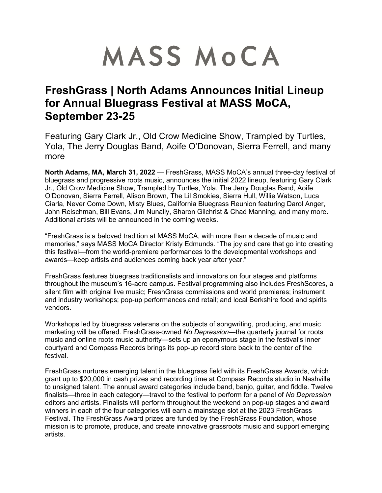# MASS MOCA

# **FreshGrass | North Adams Announces Initial Lineup for Annual Bluegrass Festival at MASS MoCA, September 23-25**

Featuring Gary Clark Jr., Old Crow Medicine Show, Trampled by Turtles, Yola, The Jerry Douglas Band, Aoife O'Donovan, Sierra Ferrell, and many more

**North Adams, MA, March 31, 2022** — FreshGrass, MASS MoCA's annual three-day festival of bluegrass and progressive roots music, announces the initial 2022 lineup, featuring Gary Clark Jr., Old Crow Medicine Show, Trampled by Turtles, Yola, The Jerry Douglas Band, Aoife O'Donovan, Sierra Ferrell, Alison Brown, The Lil Smokies, Sierra Hull, Willie Watson, Luca Ciarla, Never Come Down, Misty Blues, California Bluegrass Reunion featuring Darol Anger, John Reischman, Bill Evans, Jim Nunally, Sharon Gilchrist & Chad Manning, and many more. Additional artists will be announced in the coming weeks.

"FreshGrass is a beloved tradition at MASS MoCA, with more than a decade of music and memories," says MASS MoCA Director Kristy Edmunds. "The joy and care that go into creating this festival—from the world-premiere performances to the developmental workshops and awards—keep artists and audiences coming back year after year."

FreshGrass features bluegrass traditionalists and innovators on four stages and platforms throughout the museum's 16-acre campus. Festival programming also includes FreshScores, a silent film with original live music; FreshGrass commissions and world premieres; instrument and industry workshops; pop-up performances and retail; and local Berkshire food and spirits vendors.

Workshops led by bluegrass veterans on the subjects of songwriting, producing, and music marketing will be offered. FreshGrass-owned *No Depression*—the quarterly journal for roots music and online roots music authority—sets up an eponymous stage in the festival's inner courtyard and Compass Records brings its pop-up record store back to the center of the festival.

FreshGrass nurtures emerging talent in the bluegrass field with its FreshGrass Awards, which grant up to \$20,000 in cash prizes and recording time at Compass Records studio in Nashville to unsigned talent. The annual award categories include band, banjo, guitar, and fiddle. Twelve finalists—three in each category—travel to the festival to perform for a panel of *No Depression* editors and artists. Finalists will perform throughout the weekend on pop-up stages and award winners in each of the four categories will earn a mainstage slot at the 2023 FreshGrass Festival. The FreshGrass Award prizes are funded by the FreshGrass Foundation, whose mission is to promote, produce, and create innovative grassroots music and support emerging artists.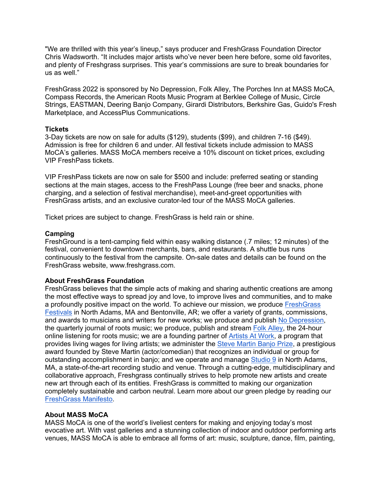"We are thrilled with this year's lineup," says producer and FreshGrass Foundation Director Chris Wadsworth. "It includes major artists who've never been here before, some old favorites, and plenty of Freshgrass surprises. This year's commissions are sure to break boundaries for us as well."

FreshGrass 2022 is sponsored by No Depression, Folk Alley, The Porches Inn at MASS MoCA, Compass Records, the American Roots Music Program at Berklee College of Music, Circle Strings, EASTMAN, Deering Banjo Company, Girardi Distributors, Berkshire Gas, Guido's Fresh Marketplace, and AccessPlus Communications.

#### **Tickets**

3-Day tickets are now on sale for adults (\$129), students (\$99), and children 7-16 (\$49). Admission is free for children 6 and under. All festival tickets include admission to MASS MoCA's galleries. MASS MoCA members receive a 10% discount on ticket prices, excluding VIP FreshPass tickets.

VIP FreshPass tickets are now on sale for \$500 and include: preferred seating or standing sections at the main stages, access to the FreshPass Lounge (free beer and snacks, phone charging, and a selection of festival merchandise), meet-and-greet opportunities with FreshGrass artists, and an exclusive curator-led tour of the MASS MoCA galleries.

Ticket prices are subject to change. FreshGrass is held rain or shine.

#### **Camping**

FreshGround is a tent-camping field within easy walking distance (.7 miles; 12 minutes) of the festival, convenient to downtown merchants, bars, and restaurants. A shuttle bus runs continuously to the festival from the campsite. On-sale dates and details can be found on the FreshGrass website, www.freshgrass.com.

## **About FreshGrass Foundation**

FreshGrass believes that the simple acts of making and sharing authentic creations are among the most effective ways to spread joy and love, to improve lives and communities, and to make a profoundly positive impact on the world. To achieve our mission, we produce FreshGrass Festivals in North Adams, MA and Bentonville, AR; we offer a variety of grants, commissions, and awards to musicians and writers for new works; we produce and publish No Depression, the quarterly journal of roots music; we produce, publish and stream Folk Alley, the 24-hour online listening for roots music; we are a founding partner of Artists At Work, a program that provides living wages for living artists; we administer the Steve Martin Banjo Prize, a prestigious award founded by Steve Martin (actor/comedian) that recognizes an individual or group for outstanding accomplishment in banjo; and we operate and manage Studio 9 in North Adams, MA, a state-of-the-art recording studio and venue. Through a cutting-edge, multidisciplinary and collaborative approach, Freshgrass continually strives to help promote new artists and create new art through each of its entities. FreshGrass is committed to making our organization completely sustainable and carbon neutral. Learn more about our green pledge by reading our FreshGrass Manifesto.

## **About MASS MoCA**

MASS MoCA is one of the world's liveliest centers for making and enjoying today's most evocative art. With vast galleries and a stunning collection of indoor and outdoor performing arts venues, MASS MoCA is able to embrace all forms of art: music, sculpture, dance, film, painting,